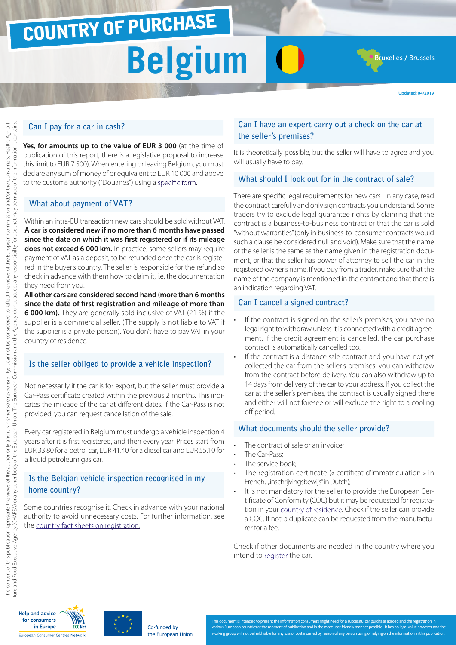## COUNTRY OF PURCHASE

## **Belgium**

**Updated: 04/2019**

**Bruxelles / Brussels** 

### **Can I pay for a car in cash?**

Yes, for amounts up to the value of EUR 3 000 (at the time of publication of this report, there is a legislative proposal to increase this limit to EUR 7 500). When entering or leaving Belgium, you must declare any sum of money of or equivalent to EUR 10 000 and above to the customs authority ("Douanes") using a [specific form.](http://ec.europa.eu/taxation_customs/resources/documents/customs/customs_controls/cash_controls/declaration_forms/declaration_form_be_en.pdf)

### **What about payment of VAT?**

Within an intra-EU transaction new cars should be sold without VAT. **A car is considered new if no more than 6 months have passed since the date on which it was first registered or if its mileage does not exceed 6 000 km.** In practice, some sellers may require payment of VAT as a deposit, to be refunded once the car is registered in the buyer's country. The seller is responsible for the refund so check in advance with them how to claim it, i.e. the documentation they need from you.

**All other cars are considered second hand (more than 6 months since the date of first registration and mileage of more than 6 000 km).** They are generally sold inclusive of VAT (21 %) if the supplier is a commercial seller. (The supply is not liable to VAT if the supplier is a private person). You don't have to pay VAT in your country of residence.

### **Is the seller obliged to provide a vehicle inspection?**

Not necessarily if the car is for export, but the seller must provide a Car-Pass certificate created within the previous 2 months. This indicates the mileage of the car at different dates. If the Car-Pass is not provided, you can request cancellation of the sale.

Every car registered in Belgium must undergo a vehicle inspection 4 years after it is first registered, and then every year. Prices start from EUR 33.80 for a petrol car, EUR 41.40 for a diesel car and EUR 55.10 for a liquid petroleum [gas car.](http://www.goca.be/upload/documents_akct/Baremes_CT_2014.pdf)

### **Is the Belgian vehicle inspection recognised in my home country?**

Some countries recognise it. Check in advance with your national authority to avoid unnecessary costs. For further information, see the [country fact sheets on registration](http://www.europe-consommateurs.eu/en/consumer-topics/on-the-road/buying-a-car/cross-border-car-purchase-and-registration/).

### **Can I have an expert carry out a check on the car at the seller's premises?**

It is theoretically possible, but the seller will have to agree and you will usually have to pay.

### **What should I look out for in the contract of sale?**

There are specific legal requirements for new cars . In any case, read the contract carefully and only sign contracts you understand. Some traders try to exclude legal guarantee rights by claiming that the contract is a business-to-business contract or that the car is sold "without warranties" (only in business-to-consumer contracts would such a clause be considered null and void). Make sure that the name of the seller is the same as the name given in the registration document, or that the seller has power of attorney to sell the car in the registered owner's name. If you buy from a trader, make sure that the name of the company is mentioned in the contract and that there is an indication regarding VAT.

### **Can I cancel a signed contract?**

- If the contract is signed on the seller's premises, you have no legal right to withdraw unless it is connected with a credit agreement. If the credit agreement is cancelled, the car purchase contract is automatically cancelled too.
- If the contract is a distance sale contract and you have not yet collected the car from the seller's premises, you can withdraw from the contract before delivery. You can also withdraw up to 14 days from delivery of the car to your address. If you collect the car at the seller's premises, the contract is usually signed there and either will not foresee or will exclude the right to a cooling off period.

### **What documents should the seller provide?**

- The contract of sale or an invoice;
- The Car-Pass:
- The service book;
- The registration certificate (« certificat d'immatriculation » in French, "inschrijvingsbewijs" in Dutch);
- It is not mandatory for the seller to provide the European Certificate of Conformity (COC) but it may be requested for registration in your [country of residence.](http://www.europe-consommateurs.eu/en/consumer-topics/on-the-road/buying-a-car/cross-border-car-purchase-and-registration/) Check if the seller can provide a COC. If not, a duplicate can be requested from the manufacturer for a fee.

Check if other documents are needed in the country where you intend to [register](http://www.europe-consommateurs.eu/en/consumer-topics/on-the-road/buying-a-car/cross-border-car-purchase-and-registration/) the car.





This document is intended to present the information consumers might need for a successful car purchase abroad and the registra ent of publication and in the most user-fr working group will not be held liable for any loss or cost incurred by reason of any person using or relying on the information in this publication.